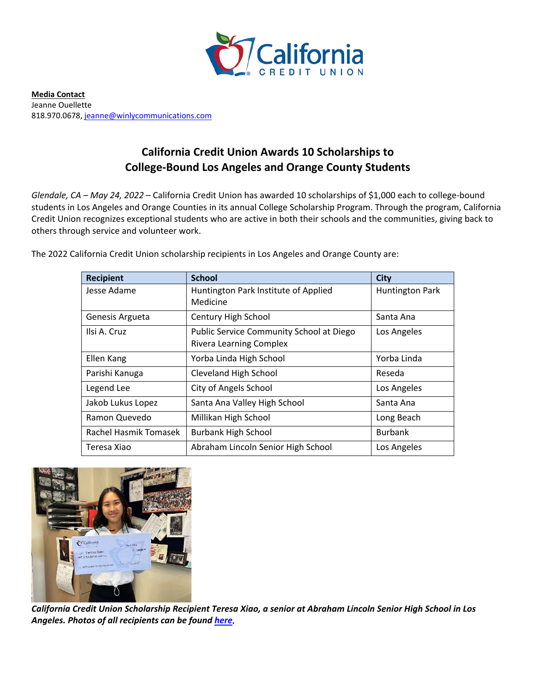

**Media Contact** Jeanne Ouellette 818.970.0678[, jeanne@winlycommunications.com](mailto:jeanne@winlycommunications.com)

## **California Credit Union Awards 10 Scholarships to College-Bound Los Angeles and Orange County Students**

*Glendale, CA – May 24, 2022* – California Credit Union has awarded 10 scholarships of \$1,000 each to college-bound students in Los Angeles and Orange Counties in its annual College Scholarship Program. Through the program, California Credit Union recognizes exceptional students who are active in both their schools and the communities, giving back to others through service and volunteer work.

| <b>Recipient</b>      | <b>School</b>                                                              | <b>City</b>            |
|-----------------------|----------------------------------------------------------------------------|------------------------|
| Jesse Adame           | Huntington Park Institute of Applied<br>Medicine                           | <b>Huntington Park</b> |
| Genesis Argueta       | Century High School                                                        | Santa Ana              |
| Ilsi A. Cruz          | Public Service Community School at Diego<br><b>Rivera Learning Complex</b> | Los Angeles            |
| Ellen Kang            | Yorba Linda High School                                                    | Yorba Linda            |
| Parishi Kanuga        | Cleveland High School                                                      | Reseda                 |
| Legend Lee            | <b>City of Angels School</b>                                               | Los Angeles            |
| Jakob Lukus Lopez     | Santa Ana Valley High School                                               | Santa Ana              |
| Ramon Quevedo         | Millikan High School                                                       | Long Beach             |
| Rachel Hasmik Tomasek | <b>Burbank High School</b>                                                 | <b>Burbank</b>         |
| Teresa Xiao           | Abraham Lincoln Senior High School                                         | Los Angeles            |

The 2022 California Credit Union scholarship recipients in Los Angeles and Orange County are:



*California Credit Union Scholarship Recipient Teresa Xiao, a senior at Abraham Lincoln Senior High School in Los Angeles. Photos of all recipients can be found [here.](https://drive.google.com/drive/folders/1aJbj7QQtYHlJCWOt_7EzNuaf0tB7TrJm)*